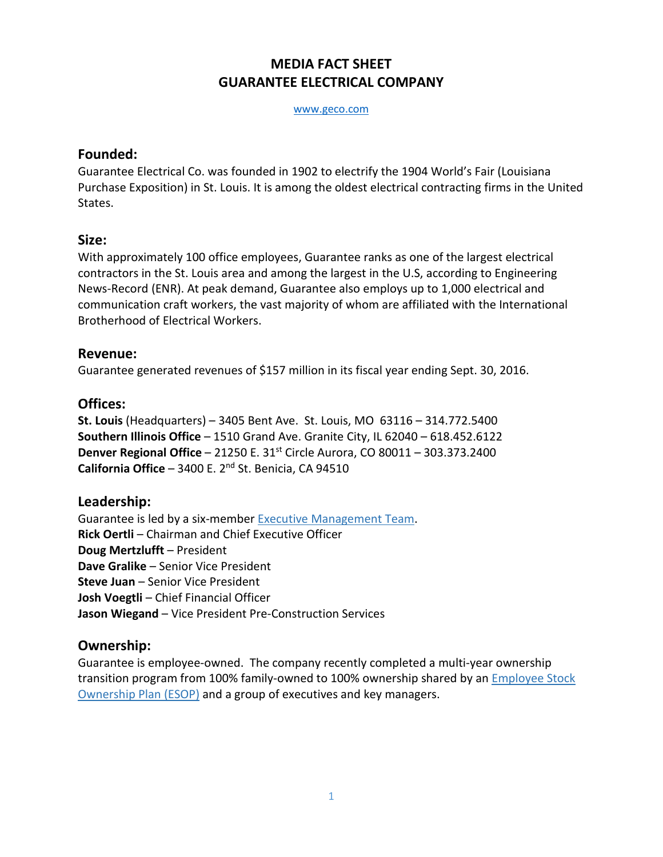# **MEDIA FACT SHEET GUARANTEE ELECTRICAL COMPANY**

[www.geco.com](file://stlbafs02/salespub/Missouri%20Marketing/Press%20Releases/www.geco.com)

#### **Founded:**

Guarantee Electrical Co. was founded in 1902 to electrify the 1904 World's Fair (Louisiana Purchase Exposition) in St. Louis. It is among the oldest electrical contracting firms in the United States.

#### **Size:**

With approximately 100 office employees, Guarantee ranks as one of the largest electrical contractors in the St. Louis area and among the largest in the U.S, according to [Engineering](http://enr.construction.com/toplists)  [News-Record \(ENR\).](http://enr.construction.com/toplists) At peak demand, Guarantee also employs up to 1,000 electrical and communication craft workers, the vast majority of whom are affiliated with the [International](http://www.ibew.org/)  [Brotherhood of Electrical Workers.](http://www.ibew.org/)

#### **Revenue:**

Guarantee generated revenues of \$157 million in its fiscal year ending Sept. 30, 2016.

#### **Offices:**

**St. Louis** (Headquarters) – 3405 Bent Ave. St. Louis, MO 63116 – 314.772.5400 **Southern Illinois Office** – 1510 Grand Ave. Granite City, IL 62040 – 618.452.6122 **Denver Regional Office** – 21250 E. 31<sup>st</sup> Circle Aurora, CO 80011 – 303.373.2400 California Office - 3400 E. 2<sup>nd</sup> St. Benicia, CA 94510

## **Leadership:**

Guarantee is led by a six-member Executive [Management](http://geco.com/about-us/company-leadership.aspx) Team. **Rick Oertli** – Chairman and Chief Executive Officer **Doug Mertzlufft** – President **Dave Gralike** – Senior Vice President **Steve Juan** – Senior Vice President **Josh Voegtli** – Chief Financial Officer **Jason Wiegand** – Vice President Pre-Construction Services

## **Ownership:**

Guarantee is employee-owned. The company recently completed a multi-year ownership transition program from 100% family-owned to 100% ownership shared by an **[Employee](http://geco.com/careers/employeeownership.aspx) Stock** [Ownership](http://geco.com/careers/employeeownership.aspx) Plan (ESOP) and a group of executives and key managers.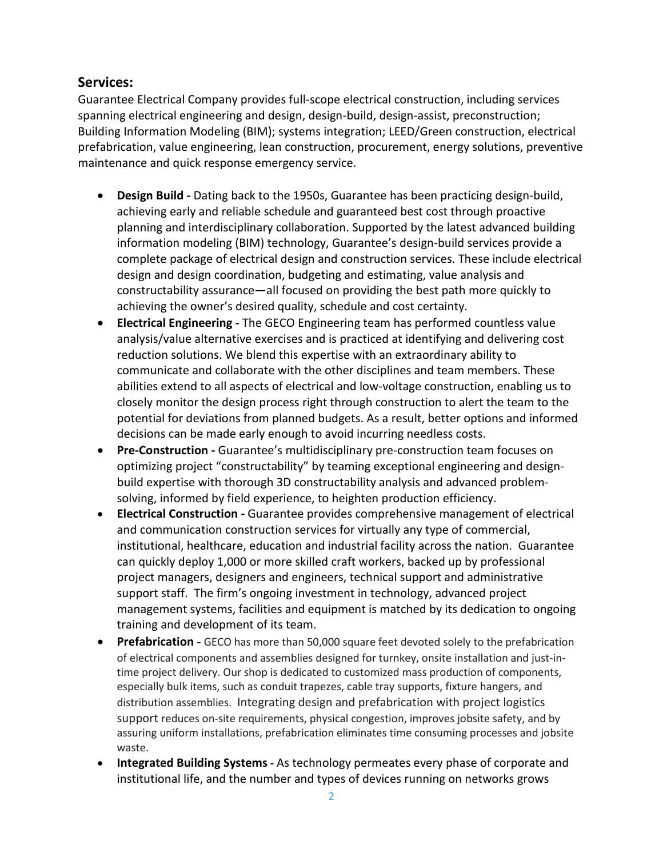### **Services:**

Guarantee Electrical Company provides full-scope electrical construction, including services spanning electrical engineering and design, design-build, design-assist, preconstruction; Building Information Modeling (BIM); systems integration; LEED/Green construction, electrical prefabrication, value engineering, lean construction, procurement, energy solutions, preventive maintenance and quick response emergency service.

- **Design Build -** Dating back to the 1950s, Guarantee has been practicing design-build, achieving early and reliable schedule and guaranteed best cost through proactive planning and interdisciplinary collaboration. Supported by the latest advanced building information modeling (BIM) technology, Guarantee's design-build services provide a complete package of electrical design and construction services. These include electrical design and design coordination, budgeting and estimating, value analysis and constructability assurance—all focused on providing the best path more quickly to achieving the owner's desired quality, schedule and cost certainty.
- **Electrical Engineering -** The GECO Engineering team has performed countless value analysis/value alternative exercises and is practiced at identifying and delivering cost reduction solutions. We blend this expertise with an extraordinary ability to communicate and collaborate with the other disciplines and team members. These abilities extend to all aspects of electrical and low-voltage construction, enabling us to closely monitor the design process right through construction to alert the team to the potential for deviations from planned budgets. As a result, better options and informed decisions can be made early enough to avoid incurring needless costs.
- **Pre-Construction -** Guarantee's multidisciplinary pre-construction team focuses on optimizing project "constructability" by teaming exceptional engineering and designbuild expertise with thorough 3D constructability analysis and advanced problemsolving, informed by field experience, to heighten production efficiency.
- **Electrical Construction -** Guarantee provides comprehensive management of electrical and communication construction services for virtually any type of commercial, institutional, healthcare, education and industrial facility across the nation. Guarantee can quickly deploy 1,000 or more skilled craft workers, backed up by professional project managers, designers and engineers, technical support and administrative support staff. The firm's ongoing investment in technology, advanced project management systems, facilities and equipment is matched by its dedication to ongoing training and development of its team.
- **Prefabrication** GECO has more than 50,000 square feet devoted solely to the prefabrication of electrical components and assemblies designed for turnkey, onsite installation and just-intime project delivery. Our shop is dedicated to customized mass production of components, especially bulk items, such as conduit trapezes, cable tray supports, fixture hangers, and distribution assemblies. Integrating design and prefabrication with project logistics support reduces on-site requirements, physical congestion, improves jobsite safety, and by assuring uniform installations, prefabrication eliminates time consuming processes and jobsite waste.
- **Integrated Building Systems -** As technology permeates every phase of corporate and institutional life, and the number and types of devices running on networks grows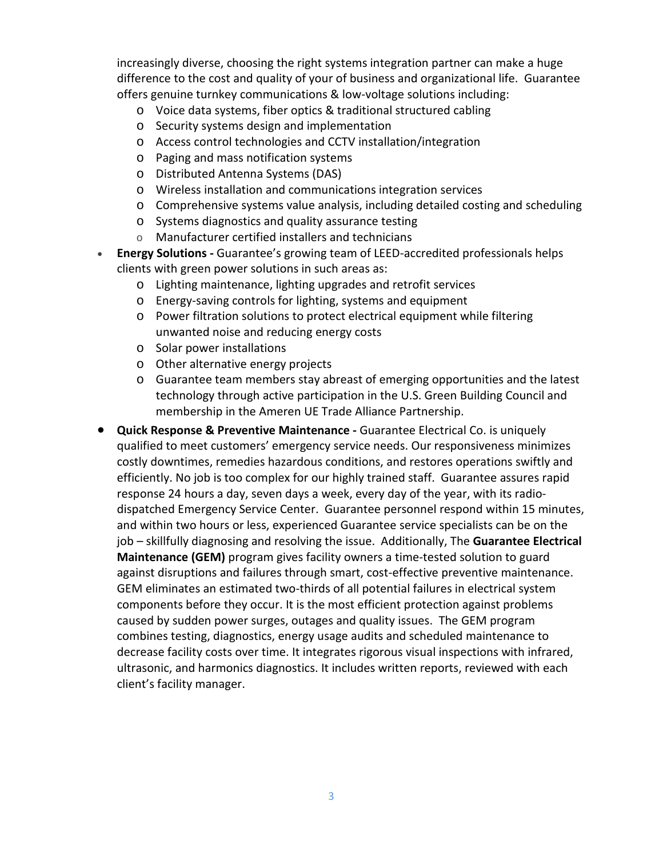increasingly diverse, choosing the right systems integration partner can make a huge difference to the cost and quality of your of business and organizational life. Guarantee offers genuine turnkey communications & low-voltage solutions including:

- o Voice data systems, fiber optics & traditional structured cabling
- o Security systems design and implementation
- o Access control technologies and CCTV installation/integration
- o Paging and mass notification systems
- o Distributed Antenna Systems (DAS)
- o Wireless installation and communications integration services
- o Comprehensive systems value analysis, including detailed costing and scheduling
- o Systems diagnostics and quality assurance testing
- o Manufacturer certified installers and technicians
- **Energy Solutions -** Guarantee's growing team of LEED-accredited professionals helps clients with green power solutions in such areas as:
	- o Lighting maintenance, lighting upgrades and retrofit services
	- o Energy-saving controls for lighting, systems and equipment
	- o Power filtration solutions to protect electrical equipment while filtering unwanted noise and reducing energy costs
	- o Solar power installations
	- o Other alternative energy projects
	- o Guarantee team members stay abreast of emerging opportunities and the latest technology through active participation in the U.S. Green Building Council and membership in the Ameren UE Trade Alliance Partnership.
- **Quick Response & Preventive Maintenance -** Guarantee Electrical Co. is uniquely qualified to meet customers' emergency service needs. Our responsiveness minimizes costly downtimes, remedies hazardous conditions, and restores operations swiftly and efficiently. No job is too complex for our highly trained staff. Guarantee assures rapid response 24 hours a day, seven days a week, every day of the year, with its radiodispatched Emergency Service Center. Guarantee personnel respond within 15 minutes, and within two hours or less, experienced Guarantee service specialists can be on the job – skillfully diagnosing and resolving the issue. Additionally, The **Guarantee Electrical Maintenance (GEM)** program gives facility owners a time-tested solution to guard against disruptions and failures through smart, cost-effective preventive maintenance. GEM eliminates an estimated two-thirds of all potential failures in electrical system components before they occur. It is the most efficient protection against problems caused by sudden power surges, outages and quality issues. The GEM program combines testing, diagnostics, energy usage audits and scheduled maintenance to decrease facility costs over time. It integrates rigorous visual inspections with infrared, ultrasonic, and harmonics diagnostics. It includes written reports, reviewed with each client's facility manager.